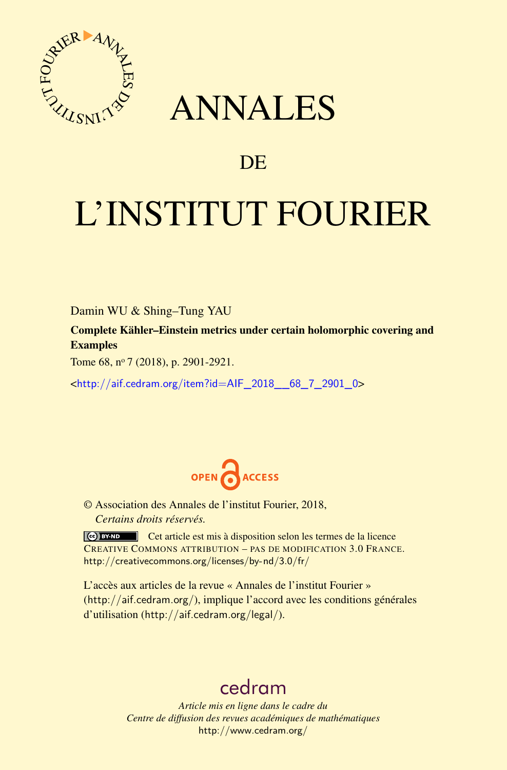

## ANNALES

## **DE**

# L'INSTITUT FOURIER

Damin WU & Shing–Tung YAU

Complete Kähler–Einstein metrics under certain holomorphic covering and Examples

Tome 68, nº 7 (2018), p. 2901-2921.

<[http://aif.cedram.org/item?id=AIF\\_2018\\_\\_68\\_7\\_2901\\_0](http://aif.cedram.org/item?id=AIF_2018__68_7_2901_0)>



© Association des Annales de l'institut Fourier, 2018, *Certains droits réservés.*

Cet article est mis à disposition selon les termes de la licence CREATIVE COMMONS ATTRIBUTION – PAS DE MODIFICATION 3.0 FRANCE. <http://creativecommons.org/licenses/by-nd/3.0/fr/>

L'accès aux articles de la revue « Annales de l'institut Fourier » (<http://aif.cedram.org/>), implique l'accord avec les conditions générales d'utilisation (<http://aif.cedram.org/legal/>).

## [cedram](http://www.cedram.org/)

*Article mis en ligne dans le cadre du Centre de diffusion des revues académiques de mathématiques* <http://www.cedram.org/>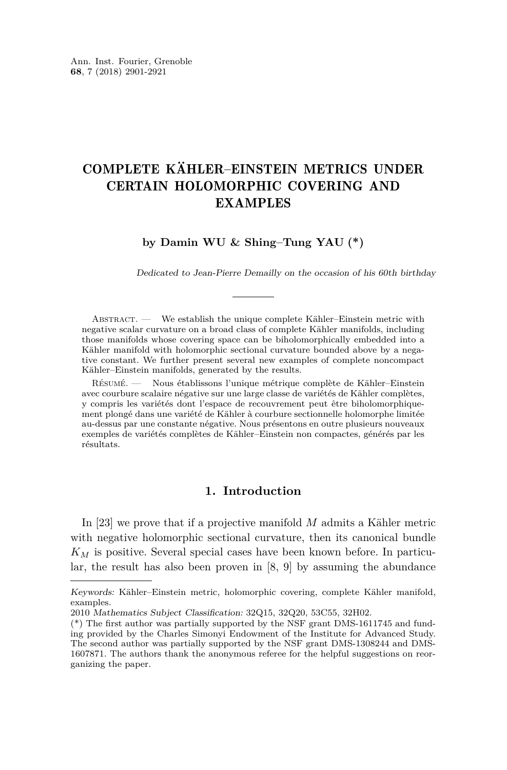### COMPLETE KÄHLER–EINSTEIN METRICS UNDER CERTAIN HOLOMORPHIC COVERING AND EXAMPLES

**by Damin WU & Shing–Tung YAU (\*)**

Dedicated to Jean-Pierre Demailly on the occasion of his 60th birthday

ABSTRACT. — We establish the unique complete Kähler–Einstein metric with negative scalar curvature on a broad class of complete Kähler manifolds, including those manifolds whose covering space can be biholomorphically embedded into a Kähler manifold with holomorphic sectional curvature bounded above by a negative constant. We further present several new examples of complete noncompact Kähler–Einstein manifolds, generated by the results.

Résumé. — Nous établissons l'unique métrique complète de Kähler–Einstein avec courbure scalaire négative sur une large classe de variétés de Kähler complètes, y compris les variétés dont l'espace de recouvrement peut être biholomorphiquement plongé dans une variété de Kähler à courbure sectionnelle holomorphe limitée au-dessus par une constante négative. Nous présentons en outre plusieurs nouveaux exemples de variétés complètes de Kähler–Einstein non compactes, générés par les résultats.

#### **1. Introduction**

In [\[23\]](#page-21-0) we prove that if a projective manifold *M* admits a Kähler metric with negative holomorphic sectional curvature, then its canonical bundle *K<sup>M</sup>* is positive. Several special cases have been known before. In particular, the result has also been proven in [\[8,](#page-20-0) [9\]](#page-20-1) by assuming the abundance

Keywords: Kähler–Einstein metric, holomorphic covering, complete Kähler manifold, examples.

<sup>2010</sup> Mathematics Subject Classification: 32Q15, 32Q20, 53C55, 32H02.

<sup>(\*)</sup> The first author was partially supported by the NSF grant DMS-1611745 and funding provided by the Charles Simonyi Endowment of the Institute for Advanced Study. The second author was partially supported by the NSF grant DMS-1308244 and DMS-1607871. The authors thank the anonymous referee for the helpful suggestions on reorganizing the paper.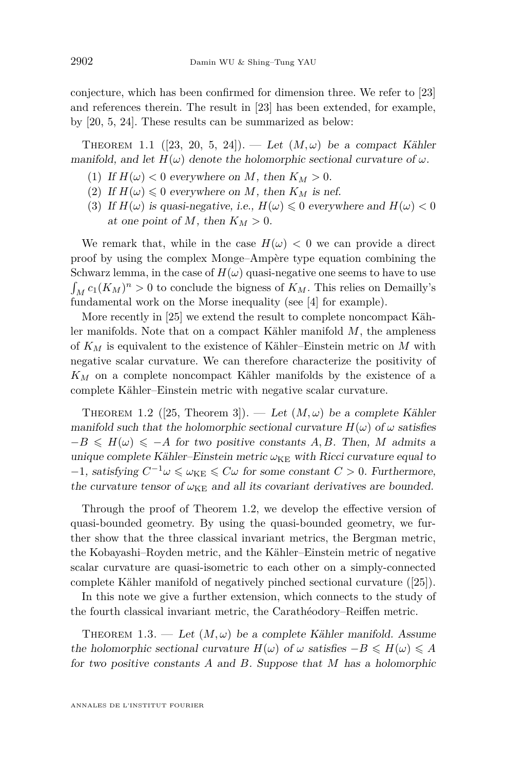conjecture, which has been confirmed for dimension three. We refer to [\[23\]](#page-21-0) and references therein. The result in [\[23\]](#page-21-0) has been extended, for example, by [\[20,](#page-21-1) [5,](#page-20-2) [24\]](#page-21-2). These results can be summarized as below:

<span id="page-2-2"></span>THEOREM 1.1 ([\[23,](#page-21-0) [20,](#page-21-1) [5,](#page-20-2) [24\]](#page-21-2)). — Let  $(M, \omega)$  be a compact Kähler manifold, and let  $H(\omega)$  denote the holomorphic sectional curvature of  $\omega$ .

- (1) If  $H(\omega) < 0$  everywhere on M, then  $K_M > 0$ .
- (2) If  $H(\omega) \leq 0$  everywhere on *M*, then  $K_M$  is nef.
- <span id="page-2-3"></span>(3) If  $H(\omega)$  is quasi-negative, i.e.,  $H(\omega) \leq 0$  everywhere and  $H(\omega) < 0$ at one point of  $M$ , then  $K_M > 0$ .

We remark that, while in the case  $H(\omega) < 0$  we can provide a direct proof by using the complex Monge–Ampère type equation combining the Schwarz lemma, in the case of  $H(\omega)$  quasi-negative one seems to have to use  $\int_M c_1(K_M)^n > 0$  to conclude the bigness of  $K_M$ . This relies on Demailly's fundamental work on the Morse inequality (see [\[4\]](#page-20-3) for example).

More recently in [\[25\]](#page-21-3) we extend the result to complete noncompact Kähler manifolds. Note that on a compact Kähler manifold *M*, the ampleness of *K<sup>M</sup>* is equivalent to the existence of Kähler–Einstein metric on *M* with negative scalar curvature. We can therefore characterize the positivity of *K<sup>M</sup>* on a complete noncompact Kähler manifolds by the existence of a complete Kähler–Einstein metric with negative scalar curvature.

<span id="page-2-0"></span>THEOREM 1.2 ([\[25,](#page-21-3) Theorem 3]). — Let  $(M,\omega)$  be a complete Kähler manifold such that the holomorphic sectional curvature  $H(\omega)$  of  $\omega$  satisfies  $-B \leq H(\omega) \leq -A$  for two positive constants *A, B*. Then, *M* admits a unique complete Kähler–Einstein metric  $\omega_{KE}$  with Ricci curvature equal to  $-1$ , satisfying  $C^{-1}\omega \le \omega_{KE} \le C\omega$  for some constant  $C > 0$ . Furthermore, the curvature tensor of  $\omega_{KE}$  and all its covariant derivatives are bounded.

Through the proof of Theorem [1.2,](#page-2-0) we develop the effective version of quasi-bounded geometry. By using the quasi-bounded geometry, we further show that the three classical invariant metrics, the Bergman metric, the Kobayashi–Royden metric, and the Kähler–Einstein metric of negative scalar curvature are quasi-isometric to each other on a simply-connected complete Kähler manifold of negatively pinched sectional curvature ([\[25\]](#page-21-3)).

In this note we give a further extension, which connects to the study of the fourth classical invariant metric, the Carathéodory–Reiffen metric.

<span id="page-2-1"></span>THEOREM 1.3. — Let  $(M, \omega)$  be a complete Kähler manifold. Assume the holomorphic sectional curvature  $H(\omega)$  of  $\omega$  satisfies  $-B \leq H(\omega) \leq A$ for two positive constants *A* and *B*. Suppose that *M* has a holomorphic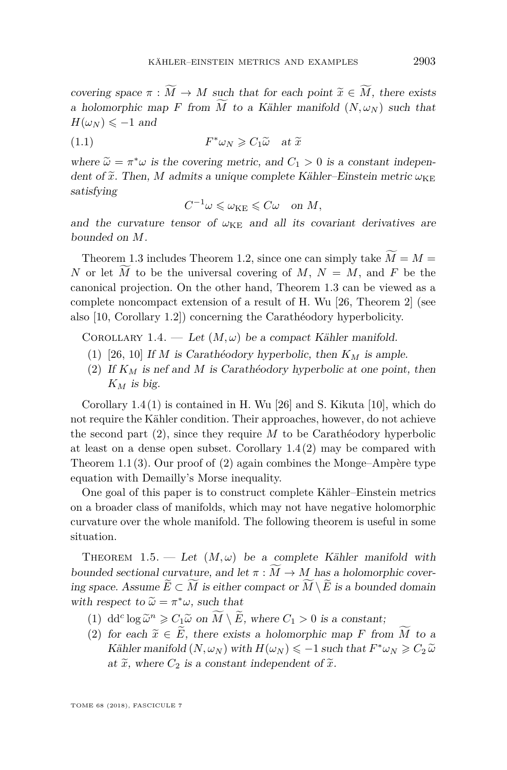covering space  $\pi : \widetilde{M} \to M$  such that for each point  $\widetilde{x} \in \widetilde{M}$ , there exists a holomorphic map *F* from  $\overline{M}$  to a Kähler manifold  $(N, \omega_N)$  such that  $H(\omega_N) \leq -1$  and

(1.1) 
$$
F^*\omega_N \geq C_1 \widetilde{\omega} \quad \text{at } \widetilde{x}
$$

where  $\widetilde{\omega} = \pi^* \omega$  is the covering metric, and  $C_1 > 0$  is a constant independent of  $\widetilde{\omega}$ . Then, M edmits a unique complete Köhler. Finately points  $\omega_{\text{true}}$ dent of  $\tilde{x}$ . Then, *M* admits a unique complete Kähler–Einstein metric  $\omega_{KE}$ satisfying

<span id="page-3-6"></span> $C^{-1}\omega \leqslant \omega_{\text{KE}} \leqslant C\omega \quad \text{on } M,$ 

and the curvature tensor of  $\omega_{\text{KE}}$  and all its covariant derivatives are bounded on *M*.

Theorem [1.3](#page-2-1) includes Theorem [1.2,](#page-2-0) since one can simply take  $\widetilde{M} = M =$ *N* or let *M* to be the universal covering of *M*,  $N = M$ , and *F* be the canonical projection. On the other hand, Theorem [1.3](#page-2-1) can be viewed as a complete noncompact extension of a result of H. Wu [\[26,](#page-21-4) Theorem 2] (see also [\[10,](#page-20-4) Corollary 1.2]) concerning the Carathéodory hyperbolicity.

<span id="page-3-0"></span>COROLLARY 1.4. — Let  $(M, \omega)$  be a compact Kähler manifold.

- <span id="page-3-1"></span>(1) [\[26,](#page-21-4) [10\]](#page-20-4) If *M* is Carathéodory hyperbolic, then *K<sup>M</sup>* is ample.
- <span id="page-3-2"></span>(2) If *K<sup>M</sup>* is nef and *M* is Carathéodory hyperbolic at one point, then  $K_M$  *is big.*

Corollary [1.4](#page-3-0)[\(1\)](#page-3-1) is contained in H. Wu [\[26\]](#page-21-4) and S. Kikuta [\[10\]](#page-20-4), which do not require the Kähler condition. Their approaches, however, do not achieve the second part [\(2\)](#page-3-2), since they require *M* to be Carathéodory hyperbolic at least on a dense open subset. Corollary  $1.4(2)$  $1.4(2)$  may be compared with Theorem [1.1](#page-2-2)[\(3\)](#page-2-3). Our proof of [\(2\)](#page-3-2) again combines the Monge–Ampère type equation with Demailly's Morse inequality.

One goal of this paper is to construct complete Kähler–Einstein metrics on a broader class of manifolds, which may not have negative holomorphic curvature over the whole manifold. The following theorem is useful in some situation.

<span id="page-3-5"></span>THEOREM 1.5. — Let  $(M, \omega)$  be a complete Kähler manifold with bounded sectional curvature, and let  $\pi : \widetilde{M} \to M$  has a holomorphic covering space. Assume  $\widetilde{E} \subset \widetilde{M}$  is either compact or  $\widetilde{M} \setminus \widetilde{E}$  is a bounded domain with respect to  $\widetilde{\omega} = \pi^* \omega$ , such that

- <span id="page-3-3"></span>(1) dd<sup>c</sup> log  $\tilde{\omega}^n \geq C_1 \tilde{\omega}$  on  $\widetilde{M} \setminus \widetilde{E}$ , where  $C_1 > 0$  is a constant;
- <span id="page-3-4"></span>(2) for each  $\tilde{x} \in \tilde{E}$ , there exists a holomorphic map *F* from  $\widetilde{M}$  to a Kähler manifold  $(N, \omega_N)$  with  $H(\omega_N) \le -1$  such that  $F^* \omega_N \ge C_2 \tilde{\omega}$ at  $\tilde{x}$ , where  $C_2$  is a constant independent of  $\tilde{x}$ .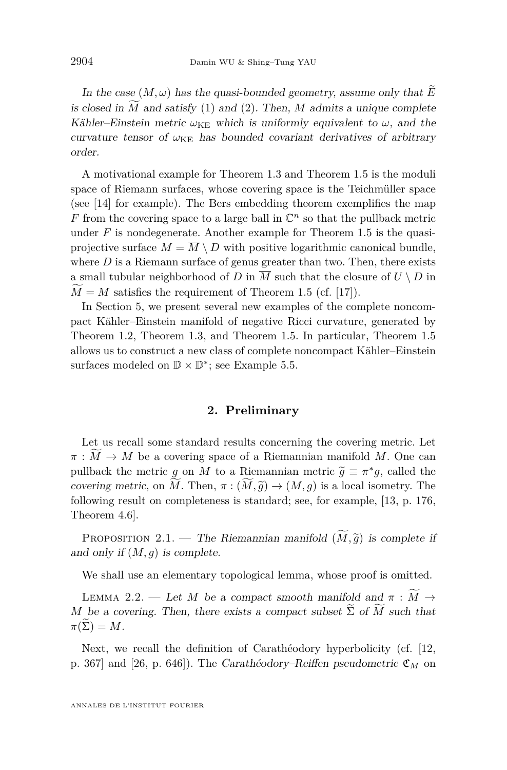In the case  $(M, \omega)$  has the quasi-bounded geometry, assume only that  $\widetilde{E}$ is closed in  $\tilde{M}$  and satisfy [\(1\)](#page-3-3) and [\(2\)](#page-3-4). Then,  $M$  admits a unique complete Kähler–Einstein metric  $\omega_{KE}$  which is uniformly equivalent to  $\omega$ , and the curvature tensor of  $\omega_{\text{KE}}$  has bounded covariant derivatives of arbitrary order.

A motivational example for Theorem [1.3](#page-2-1) and Theorem [1.5](#page-3-5) is the moduli space of Riemann surfaces, whose covering space is the Teichmüller space (see [\[14\]](#page-20-5) for example). The Bers embedding theorem exemplifies the map  $F$  from the covering space to a large ball in  $\mathbb{C}^n$  so that the pullback metric under  $F$  is nondegenerate. Another example for Theorem [1.5](#page-3-5) is the quasiprojective surface  $M = \overline{M} \setminus D$  with positive logarithmic canonical bundle, where  $D$  is a Riemann surface of genus greater than two. Then, there exists a small tubular neighborhood of *D* in  $\overline{M}$  such that the closure of  $U \setminus D$  in  $M = M$  satisfies the requirement of Theorem [1.5](#page-3-5) (cf. [\[17\]](#page-21-5)).

In Section [5,](#page-15-0) we present several new examples of the complete noncompact Kähler–Einstein manifold of negative Ricci curvature, generated by Theorem [1.2,](#page-2-0) Theorem [1.3,](#page-2-1) and Theorem [1.5.](#page-3-5) In particular, Theorem [1.5](#page-3-5) allows us to construct a new class of complete noncompact Kähler–Einstein surfaces modeled on  $\mathbb{D} \times \mathbb{D}^*$ ; see Example [5.5.](#page-16-0)

#### **2. Preliminary**

Let us recall some standard results concerning the covering metric. Let  $\pi : M \to M$  be a covering space of a Riemannian manifold *M*. One can pullback the metric *g* on *M* to a Riemannian metric  $\widetilde{g} \equiv \pi^* g$ , called the covering metric on  $\widetilde{M}$ . Then  $\pi : (\widetilde{M}, \widetilde{g}) \to (M, g)$  is a local isometry. The covering metric, on *M*. Then,  $\pi : (M, \tilde{g}) \to (M, g)$  is a local isometry. The following result on completeness is standard; see, for example, [\[13,](#page-20-6) p. 176, Theorem 4.6].

<span id="page-4-0"></span>PROPOSITION 2.1. — The Riemannian manifold  $(\widetilde{M}, \widetilde{g})$  is complete if and only if  $(M, g)$  is complete.

We shall use an elementary topological lemma, whose proof is omitted.

<span id="page-4-1"></span>LEMMA 2.2. — Let *M* be a compact smooth manifold and  $\pi : \widetilde{M} \to$ *M* be a covering. Then, there exists a compact subset  $\Sigma$  of *M* such that  $\pi(\Sigma) = M$ .

Next, we recall the definition of Carathéodory hyperbolicity (cf. [\[12,](#page-20-7) p. 367] and [\[26,](#page-21-4) p. 646]). The Carathéodory–Reiffen pseudometric C*<sup>M</sup>* on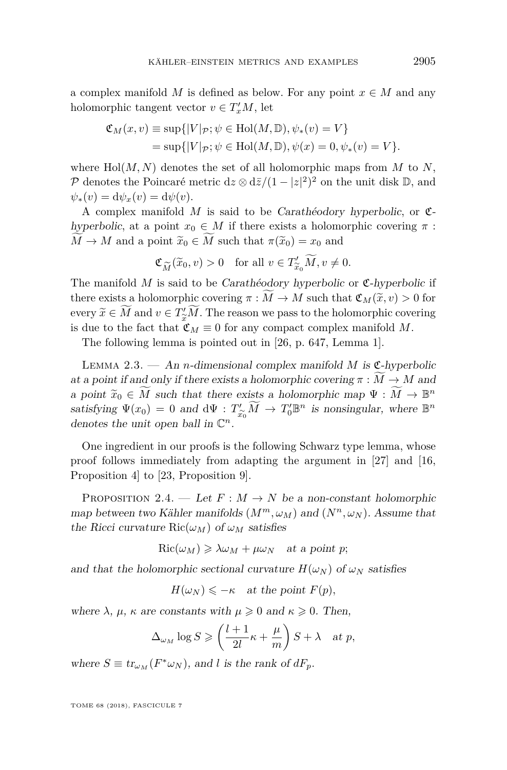a complex manifold *M* is defined as below. For any point  $x \in M$  and any holomorphic tangent vector  $v \in T'_xM$ , let

$$
\mathfrak{C}_M(x,v) \equiv \sup\{|V|_{\mathcal{P}}; \psi \in Hol(M,\mathbb{D}), \psi_*(v) = V\}
$$
  
= sup\{|V|\_{\mathcal{P}}; \psi \in Hol(M,\mathbb{D}), \psi(x) = 0, \psi\_\*(v) = V\}.

where  $Hol(M, N)$  denotes the set of all holomorphic maps from M to N, P denotes the Poincaré metric  $dz \otimes d\bar{z}/(1-|z|^2)^2$  on the unit disk  $\mathbb{D}$ , and  $\psi_*(v) = d\psi_x(v) = d\psi(v).$ 

A complex manifold *M* is said to be Carathéodory hyperbolic, or Chyperbolic, at a point  $x_0 \in M$  if there exists a holomorphic covering  $\pi$ :  $\widetilde{M} \rightarrow M$  and a point  $\widetilde{x}_0 \in M$  such that  $\pi(\widetilde{x}_0) = x_0$  and

$$
\mathfrak{C}_{\widetilde{M}}(\widetilde{x}_0,v) > 0 \quad \text{for all } v \in T'_{\widetilde{x}_0} \widetilde{M}, v \neq 0.
$$

 $\mathfrak{C}_{\widetilde{M}}(\widetilde{x}_0,v) > 0$  for all  $v \in T'_{\widetilde{x}_0}M, v \neq 0$ .<br>The manifold *M* is said to be *Carathéodory hyperbolic* or **C**-hyperbolic if there exists a holomorphic covering  $\pi : M \to M$  such that  $\mathfrak{C}_M(\widetilde{x}, v) > 0$  for every  $\widetilde{x} \in M$  and  $v \in T_x^{\prime}/M$ . The reason we pass to the holomorphic covering<br>is due to the feat that  $\sigma = 0$  for any sempact sempley mapifold M is due to the fact that  $\mathfrak{C}_M \equiv 0$  for any compact complex manifold M.

The following lemma is pointed out in [\[26,](#page-21-4) p. 647, Lemma 1].

<span id="page-5-1"></span>LEMMA 2.3.  $-$  An *n*-dimensional complex manifold *M* is  $\mathfrak{C}\text{-hyperbolic}$ at a point if and only if there exists a holomorphic covering  $\pi : M \to M$  and a point  $\widetilde{x}_0 \in \widetilde{M}$  such that there exists a holomorphic map  $\Psi : \widetilde{M} \to \mathbb{B}^n$ <br>catiofying  $\Psi(x) \to 0$  and  $\partial \Psi \to \widetilde{M} \to T'^{\square n}$  is nonsingular, where  $\mathbb{B}^n$ satisfying  $\Psi(x_0) = 0$  and  $\overline{d}\Psi : T'_{\widetilde{x_0}M} \to T'_0 \mathbb{B}^n$  is nonsingular, where  $\mathbb{B}^n$ denotes the unit open ball in  $\mathbb{C}^n$ .

One ingredient in our proofs is the following Schwarz type lemma, whose proof follows immediately from adapting the argument in [\[27\]](#page-21-6) and [\[16,](#page-21-7) Proposition 4] to [\[23,](#page-21-0) Proposition 9].

<span id="page-5-0"></span>PROPOSITION 2.4. — Let  $F: M \to N$  be a non-constant holomorphic map between two Kähler manifolds  $(M^m, \omega_M)$  and  $(N^n, \omega_N)$ . Assume that the Ricci curvature  $\text{Ric}(\omega_M)$  of  $\omega_M$  satisfies

$$
Ric(\omega_M) \geq \lambda \omega_M + \mu \omega_N \quad \text{at a point } p;
$$

and that the holomorphic sectional curvature  $H(\omega_N)$  of  $\omega_N$  satisfies

 $H(\omega_N) \leq -\kappa$  at the point  $F(p)$ ,

where  $\lambda$ ,  $\mu$ ,  $\kappa$  are constants with  $\mu \geq 0$  and  $\kappa \geq 0$ . Then,

$$
\Delta_{\omega_M} \log S \geqslant \left(\frac{l+1}{2l}\kappa + \frac{\mu}{m}\right)S + \lambda \quad \text{at } p,
$$

where  $S \equiv tr_{\omega_M}(F^*\omega_N)$ , and *l* is the rank of  $dF_p$ .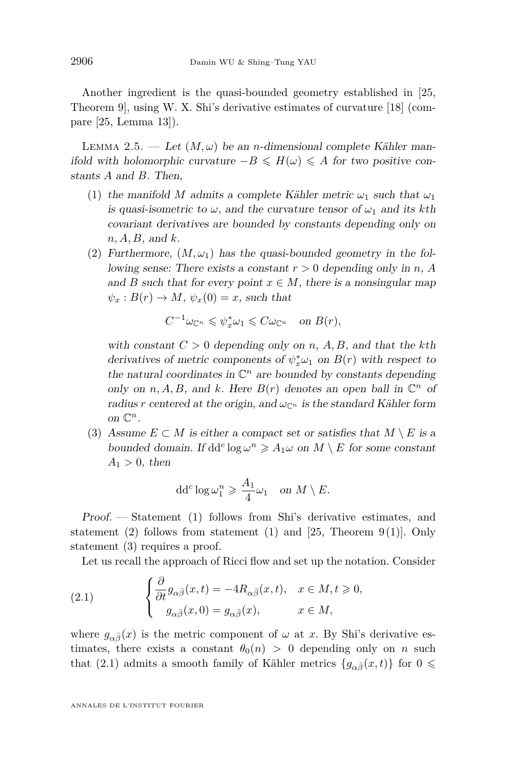Another ingredient is the quasi-bounded geometry established in [\[25,](#page-21-3) Theorem 9], using W. X. Shi's derivative estimates of curvature [\[18\]](#page-21-8) (compare [\[25,](#page-21-3) Lemma 13]).

<span id="page-6-4"></span>LEMMA 2.5. — Let  $(M, \omega)$  be an *n*-dimensional complete Kähler manifold with holomorphic curvature  $-B \leq H(\omega) \leq A$  for two positive constants *A* and *B*. Then,

- <span id="page-6-0"></span>(1) the manifold *M* admits a complete Kähler metric  $\omega_1$  such that  $\omega_1$ is quasi-isometric to  $\omega$ , and the curvature tensor of  $\omega_1$  and its kth covariant derivatives are bounded by constants depending only on *n, A, B*, and *k*.
- <span id="page-6-1"></span>(2) Furthermore,  $(M, \omega_1)$  has the quasi-bounded geometry in the following sense: There exists a constant *r >* 0 depending only in *n*, *A* and *B* such that for every point  $x \in M$ , there is a nonsingular map  $\psi_x : B(r) \to M$ ,  $\psi_x(0) = x$ , such that

$$
C^{-1}\omega_{\mathbb{C}^n} \leqslant \psi_x^*\omega_1 \leqslant C\omega_{\mathbb{C}^n} \quad \text{on } B(r),
$$

with constant  $C > 0$  depending only on *n*, *A*, *B*, and that the *k*th derivatives of metric components of  $\psi_x^* \omega_1$  on  $B(r)$  with respect to the natural coordinates in  $\mathbb{C}^n$  are bounded by constants depending only on  $n, A, B$ , and  $k$ . Here  $B(r)$  denotes an open ball in  $\mathbb{C}^n$  of radius *r* centered at the origin, and  $\omega_{\mathbb{C}^n}$  is the standard Kähler form on  $\mathbb{C}^n$ .

<span id="page-6-2"></span>(3) Assume  $E \subset M$  is either a compact set or satisfies that  $M \setminus E$  is a bounded domain. If  $dd^c \log \omega^n \ge A_1 \omega$  on  $M \setminus E$  for some constant  $A_1 > 0$ , then

$$
dd^c \log \omega_1^n \geqslant \frac{A_1}{4} \omega_1 \quad \text{on } M \setminus E.
$$

Proof. — Statement [\(1\)](#page-6-0) follows from Shi's derivative estimates, and statement [\(2\)](#page-6-1) follows from statement [\(1\)](#page-6-0) and [\[25,](#page-21-3) Theorem 9(1)]. Only statement [\(3\)](#page-6-2) requires a proof.

<span id="page-6-3"></span>Let us recall the approach of Ricci flow and set up the notation. Consider

(2.1) 
$$
\begin{cases} \frac{\partial}{\partial t} g_{\alpha\bar{\beta}}(x,t) = -4R_{\alpha\bar{\beta}}(x,t), & x \in M, t \geq 0, \\ g_{\alpha\bar{\beta}}(x,0) = g_{\alpha\bar{\beta}}(x), & x \in M, \end{cases}
$$

where  $g_{\alpha\bar{\beta}}(x)$  is the metric component of  $\omega$  at *x*. By Shi's derivative estimates, there exists a constant  $\theta_0(n) > 0$  depending only on *n* such that [\(2.1\)](#page-6-3) admits a smooth family of Kähler metrics  ${g_{\alpha \bar{\beta}}(x,t)}$  for  $0 \le$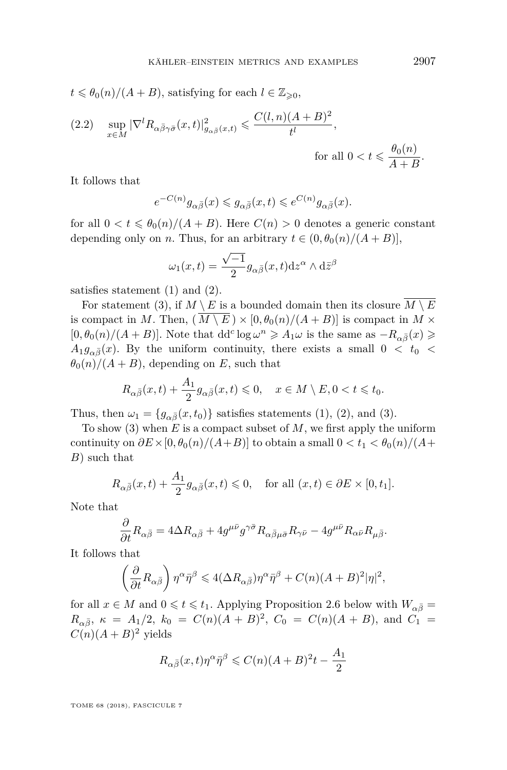$t \le \theta_0(n)/(A+B)$ , satisfying for each  $l \in \mathbb{Z}_{\ge 0}$ ,

(2.2) 
$$
\sup_{x \in M} |\nabla^l R_{\alpha \bar{\beta} \gamma \bar{\sigma}}(x, t)|_{g_{\alpha \bar{\beta}}(x, t)}^2 \leq \frac{C(l, n)(A + B)^2}{t^l},
$$
 for all  $0 < t \leq \frac{\theta_0(n)}{A + B}.$ 

It follows that

$$
e^{-C(n)}g_{\alpha\bar{\beta}}(x)\leqslant g_{\alpha\bar{\beta}}(x,t)\leqslant e^{C(n)}g_{\alpha\bar{\beta}}(x).
$$

for all  $0 < t \leq \theta_0(n)/(A+B)$ . Here  $C(n) > 0$  denotes a generic constant depending only on *n*. Thus, for an arbitrary  $t \in (0, \theta_0(n)/(A+B))$ ,

$$
\omega_1(x,t) = \frac{\sqrt{-1}}{2} g_{\alpha\bar{\beta}}(x,t) \mathrm{d}z^{\alpha} \wedge \mathrm{d}\bar{z}^{\beta}
$$

satisfies statement [\(1\)](#page-6-0) and [\(2\)](#page-6-1).

For statement [\(3\)](#page-6-2), if  $M \setminus E$  is a bounded domain then its closure  $\overline{M \setminus E}$ is compact in *M*. Then,  $(M \setminus E) \times [0, \theta_0(n)/(A+B)]$  is compact in  $M \times$  $[0, \theta_0(n)/(A+B)]$ . Note that  $dd^c \log \omega^n \geqslant A_1 \omega$  is the same as  $-R_{\alpha\bar{\beta}}(x) \geqslant$  $A_1 g_{\alpha\bar{\beta}}(x)$ . By the uniform continuity, there exists a small  $0 < t_0 <$  $\theta_0(n)/(A+B)$ , depending on *E*, such that

$$
R_{\alpha\bar{\beta}}(x,t) + \frac{A_1}{2} g_{\alpha\bar{\beta}}(x,t) \leq 0, \quad x \in M \setminus E, 0 < t \leq t_0.
$$

Thus, then  $\omega_1 = \{g_{\alpha\bar{\beta}}(x, t_0)\}\$  satisfies statements [\(1\)](#page-6-0), [\(2\)](#page-6-1), and [\(3\)](#page-6-2).

To show [\(3\)](#page-6-2) when *E* is a compact subset of *M*, we first apply the uniform continuity on  $\partial E \times [0, \theta_0(n)/(A+B)]$  to obtain a small  $0 < t_1 < \theta_0(n)/(A+B)$ *B*) such that

$$
R_{\alpha\bar{\beta}}(x,t) + \frac{A_1}{2} g_{\alpha\bar{\beta}}(x,t) \leq 0, \quad \text{for all } (x,t) \in \partial E \times [0,t_1].
$$

Note that

$$
\frac{\partial}{\partial t}R_{\alpha\bar{\beta}} = 4\Delta R_{\alpha\bar{\beta}} + 4g^{\mu\bar{\nu}}g^{\gamma\bar{\sigma}}R_{\alpha\bar{\beta}\mu\bar{\sigma}}R_{\gamma\bar{\nu}} - 4g^{\mu\bar{\nu}}R_{\alpha\bar{\nu}}R_{\mu\bar{\beta}}.
$$

It follows that

$$
\left(\frac{\partial}{\partial t}R_{\alpha\bar{\beta}}\right)\eta^{\alpha}\bar{\eta}^{\beta} \leqslant 4(\Delta R_{\alpha\bar{\beta}})\eta^{\alpha}\bar{\eta}^{\beta} + C(n)(A+B)^{2}|\eta|^{2},
$$

for all  $x \in M$  and  $0 \leq t \leq t_1$ . Applying Proposition [2.6](#page-8-0) below with  $W_{\alpha \bar{\beta}} =$  $R_{\alpha\bar{\beta}}$ ,  $\kappa = A_1/2$ ,  $k_0 = C(n)(A + B)^2$ ,  $C_0 = C(n)(A + B)$ , and  $C_1 =$  $C(n)(A+B)^2$  yields

$$
R_{\alpha\bar{\beta}}(x,t)\eta^{\alpha}\bar{\eta}^{\beta} \leqslant C(n)(A+B)^{2}t - \frac{A_{1}}{2}
$$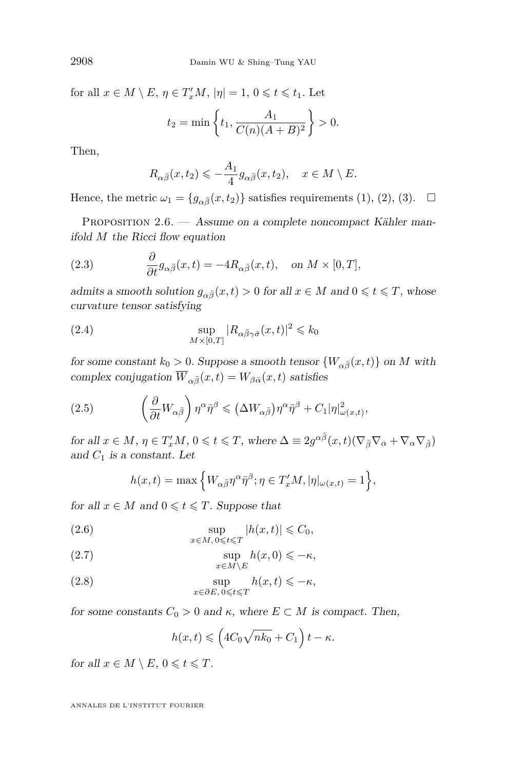for all  $x \in M \setminus E$ ,  $\eta \in T'_xM$ ,  $|\eta| = 1$ ,  $0 \leqslant t \leqslant t_1$ . Let

$$
t_2 = \min\left\{t_1, \frac{A_1}{C(n)(A+B)^2}\right\} > 0.
$$

Then,

$$
R_{\alpha\bar{\beta}}(x,t_2) \leqslant -\frac{A_1}{4}g_{\alpha\bar{\beta}}(x,t_2), \quad x \in M \setminus E.
$$

Hence, the metric  $\omega_1 = \{g_{\alpha\bar{\beta}}(x,t_2)\}\$  satisfies requirements [\(1\)](#page-6-0), [\(2\)](#page-6-1), [\(3\)](#page-6-2).  $\Box$ 

<span id="page-8-0"></span>PROPOSITION 2.6. — Assume on a complete noncompact Kähler manifold *M* the Ricci flow equation

(2.3) 
$$
\frac{\partial}{\partial t} g_{\alpha\bar{\beta}}(x,t) = -4R_{\alpha\bar{\beta}}(x,t), \text{ on } M \times [0,T],
$$

admits a smooth solution  $g_{\alpha\bar{\beta}}(x,t) > 0$  for all  $x \in M$  and  $0 \leq t \leq T$ , whose curvature tensor satisfying

(2.4) 
$$
\sup_{M \times [0,T]} |R_{\alpha \bar{\beta} \gamma \bar{\sigma}}(x,t)|^2 \leq k_0
$$

for some constant  $k_0 > 0$ . Suppose a smooth tensor  $\{W_{\alpha\bar{\beta}}(x,t)\}$  on *M* with complex conjugation  $\overline{W}_{\alpha\bar{\beta}}(x,t) = W_{\beta\bar{\alpha}}(x,t)$  satisfies

(2.5) 
$$
\left(\frac{\partial}{\partial t}W_{\alpha\bar{\beta}}\right)\eta^{\alpha}\bar{\eta}^{\beta} \leqslant (\Delta W_{\alpha\bar{\beta}})\eta^{\alpha}\bar{\eta}^{\beta} + C_{1}|\eta|_{\omega(x,t)}^{2},
$$

 $\int$  for all  $x \in M$ ,  $\eta \in T'_xM$ ,  $0 \leqslant t \leqslant T$ , where  $\Delta \equiv 2g^{\alpha \bar{\beta}}(x, t)(\nabla_{\bar{\beta}} \nabla_{\alpha} + \nabla_{\alpha} \nabla_{\bar{\beta}})$ and *C*<sup>1</sup> is a constant. Let

$$
h(x,t) = \max\left\{W_{\alpha\bar{\beta}}\eta^{\alpha}\bar{\eta}^{\beta}; \eta \in T'_xM, |\eta|_{\omega(x,t)} = 1\right\},\
$$

for all  $x \in M$  and  $0 \leq t \leq T$ . Suppose that

(2.6) 
$$
\sup_{x \in M, 0 \leqslant t \leqslant T} |h(x, t)| \leqslant C_0,
$$

<span id="page-8-1"></span>(2.7) 
$$
\sup_{x \in M \setminus E} h(x,0) \leqslant -\kappa,
$$

<span id="page-8-2"></span>(2.8) 
$$
\sup_{x \in \partial E, 0 \leq t \leq T} h(x, t) \leq -\kappa,
$$

for some constants  $C_0 > 0$  and  $\kappa$ , where  $E \subset M$  is compact. Then,

$$
h(x,t) \leqslant \left(4C_0\sqrt{nk_0} + C_1\right)t - \kappa.
$$

for all  $x \in M \setminus E$ ,  $0 \leq t \leq T$ .

ANNALES DE L'INSTITUT FOURIER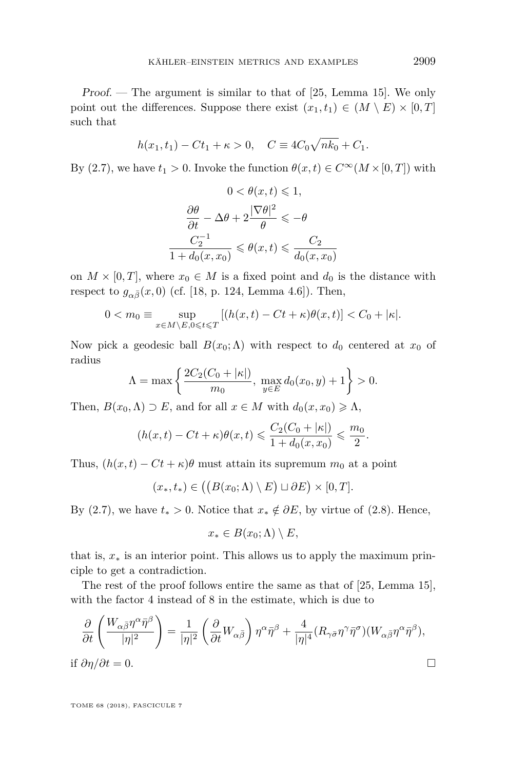Proof. — The argument is similar to that of [\[25,](#page-21-3) Lemma 15]. We only point out the differences. Suppose there exist  $(x_1, t_1) \in (M \setminus E) \times [0, T]$ such that

$$
h(x_1, t_1) - Ct_1 + \kappa > 0, \quad C \equiv 4C_0\sqrt{nk_0} + C_1.
$$

By [\(2.7\)](#page-8-1), we have  $t_1 > 0$ . Invoke the function  $\theta(x, t) \in C^\infty(M \times [0, T])$  with

$$
0 < \theta(x, t) \leq 1,
$$
\n
$$
\frac{\partial \theta}{\partial t} - \Delta \theta + 2 \frac{|\nabla \theta|^2}{\theta} \leq -\theta
$$
\n
$$
\frac{C_2^{-1}}{1 + d_0(x, x_0)} \leq \theta(x, t) \leq \frac{C_2}{d_0(x, x_0)}
$$

on  $M \times [0, T]$ , where  $x_0 \in M$  is a fixed point and  $d_0$  is the distance with respect to  $g_{\alpha\bar{\beta}}(x,0)$  (cf. [\[18,](#page-21-8) p. 124, Lemma 4.6]). Then,

$$
0 < m_0 \equiv \sup_{x \in M \setminus E, 0 \le t \le T} \left[ (h(x, t) - Ct + \kappa) \theta(x, t) \right] < C_0 + |\kappa|.
$$

Now pick a geodesic ball  $B(x_0; \Lambda)$  with respect to  $d_0$  centered at  $x_0$  of radius

$$
\Lambda = \max \left\{ \frac{2C_2(C_0 + |\kappa|)}{m_0}, \ \max_{y \in E} d_0(x_0, y) + 1 \right\} > 0.
$$

Then,  $B(x_0, \Lambda) \supset E$ , and for all  $x \in M$  with  $d_0(x, x_0) \geq \Lambda$ ,

$$
(h(x,t) - Ct + \kappa)\theta(x,t) \leqslant \frac{C_2(C_0 + |\kappa|)}{1 + d_0(x,x_0)} \leqslant \frac{m_0}{2}.
$$

Thus,  $(h(x, t) - Ct + \kappa)\theta$  must attain its supremum  $m_0$  at a point

$$
(x_*,t_*) \in ((B(x_0;\Lambda) \setminus E) \sqcup \partial E) \times [0,T].
$$

By [\(2.7\)](#page-8-1), we have  $t_* > 0$ . Notice that  $x_* \notin \partial E$ , by virtue of [\(2.8\)](#page-8-2). Hence,

$$
x_* \in B(x_0; \Lambda) \setminus E,
$$

that is,  $x_*$  is an interior point. This allows us to apply the maximum principle to get a contradiction.

The rest of the proof follows entire the same as that of [\[25,](#page-21-3) Lemma 15], with the factor 4 instead of 8 in the estimate, which is due to

$$
\frac{\partial}{\partial t} \left( \frac{W_{\alpha\bar{\beta}} \eta^{\alpha} \bar{\eta}^{\beta}}{|\eta|^2} \right) = \frac{1}{|\eta|^2} \left( \frac{\partial}{\partial t} W_{\alpha\bar{\beta}} \right) \eta^{\alpha} \bar{\eta}^{\beta} + \frac{4}{|\eta|^4} (R_{\gamma\bar{\sigma}} \eta^{\gamma} \bar{\eta}^{\sigma}) (W_{\alpha\bar{\beta}} \eta^{\alpha} \bar{\eta}^{\beta}),
$$
if  $\partial \eta / \partial t = 0$ .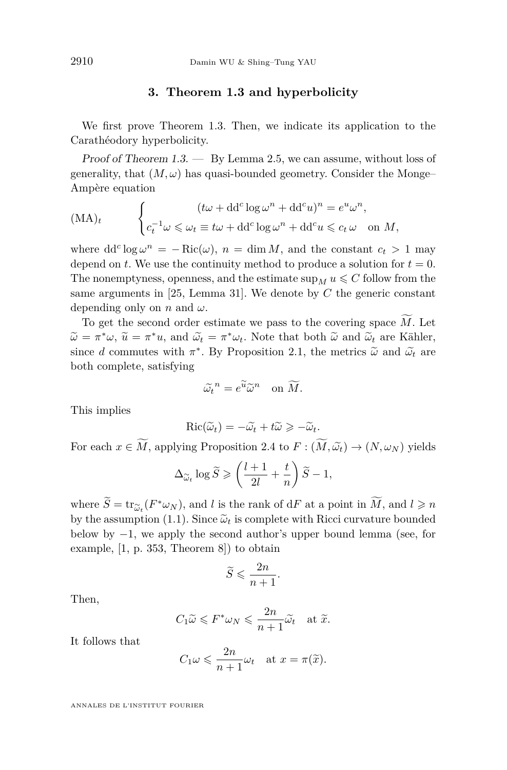#### **3. Theorem [1.3](#page-2-1) and hyperbolicity**

We first prove Theorem [1.3.](#page-2-1) Then, we indicate its application to the Carathéodory hyperbolicity.

Proof of Theorem  $1.3.$  — By Lemma [2.5,](#page-6-4) we can assume, without loss of generality, that  $(M, \omega)$  has quasi-bounded geometry. Consider the Monge-Ampère equation

$$
(\text{MA})_t \qquad \begin{cases} (t\omega + \text{dd}^c \log \omega^n + \text{dd}^c u)^n = e^u \omega^n, \\ c_t^{-1} \omega \leq \omega_t \equiv t\omega + \text{dd}^c \log \omega^n + \text{dd}^c u \leq c_t \omega \quad \text{on } M, \end{cases}
$$

where  $dd^c \log \omega^n = -\text{Ric}(\omega)$ ,  $n = \dim M$ , and the constant  $c_t > 1$  may depend on *t*. We use the continuity method to produce a solution for  $t = 0$ . The nonemptyness, openness, and the estimate  $\sup_M u \leq C$  follow from the same arguments in [\[25,](#page-21-3) Lemma 31]. We denote by *C* the generic constant depending only on *n* and *ω*.

To get the second order estimate we pass to the covering space  $\tilde{M}$ . Let  $\widetilde{\omega} = \pi^* \omega$ ,  $\widetilde{u} = \pi^* u$ , and  $\widetilde{\omega}_t = \pi^* \omega_t$ . Note that both  $\widetilde{\omega}$  and  $\widetilde{\omega}_t$  are Kähler, since *d* semmutes with  $\pi^*$ . By Bronesition 2.1, the metrics  $\widetilde{\omega}$  and  $\widetilde{\omega}$  are since *d* commutes with  $\pi^*$ . By Proposition [2.1,](#page-4-0) the metrics  $\tilde{\omega}$  and  $\tilde{\omega}_t$  are both complete, satisfying

$$
\widetilde{\omega_t}^n = e^{\widetilde{u}} \widetilde{\omega}^n \quad \text{on } \widetilde{M}.
$$

This implies

$$
\operatorname{Ric}(\widetilde{\omega}_t) = -\widetilde{\omega}_t + t\widetilde{\omega} \geqslant -\widetilde{\omega}_t.
$$

For each  $x \in M$ , applying Proposition [2.4](#page-5-0) to  $F : (M, \widetilde{\omega_t}) \to (N, \omega_N)$  yields

$$
\Delta_{\widetilde{\omega}_t} \log \widetilde{S} \geqslant \left(\frac{l+1}{2l} + \frac{t}{n}\right) \widetilde{S} - 1,
$$

where  $\widetilde{S} = \text{tr}_{\widetilde{\omega}_t}(F^*\omega_N)$ , and *l* is the rank of d*F* at a point in  $\widetilde{M}$ , and  $l \geq n$ by the assumption [\(1.1\)](#page-3-6). Since  $\tilde{\omega}_t$  is complete with Ricci curvature bounded below by −1, we apply the second author's upper bound lemma (see, for example, [\[1,](#page-20-8) p. 353, Theorem 8]) to obtain

$$
\widetilde{S} \leqslant \frac{2n}{n+1}.
$$

Then,

$$
C_1 \widetilde{\omega} \leqslant F^* \omega_N \leqslant \frac{2n}{n+1} \widetilde{\omega}_t
$$
 at  $\widetilde{x}$ .

It follows that

$$
C_1 \omega \leqslant \frac{2n}{n+1} \omega_t
$$
 at  $x = \pi(\tilde{x})$ .

ANNALES DE L'INSTITUT FOURIER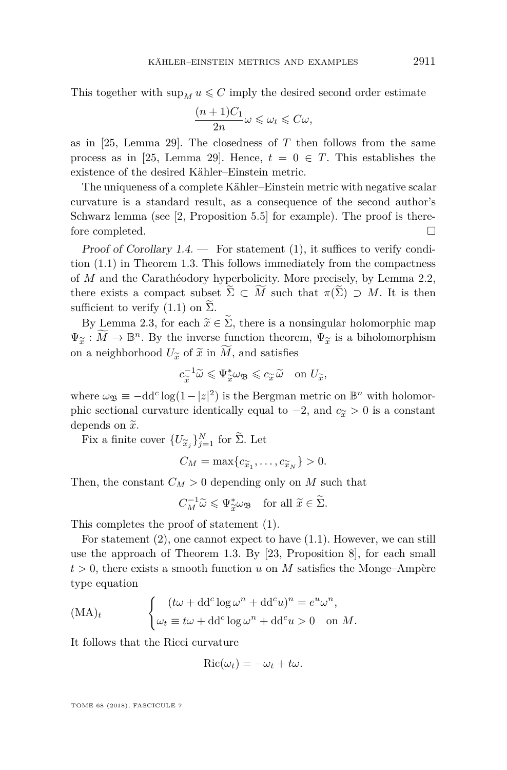This together with  $\sup_M u \leq C$  imply the desired second order estimate

$$
\frac{(n+1)C_1}{2n}\omega \leq \omega_t \leq C\omega,
$$

as in [\[25,](#page-21-3) Lemma 29]. The closedness of *T* then follows from the same process as in [\[25,](#page-21-3) Lemma 29]. Hence,  $t = 0 \in T$ . This establishes the existence of the desired Kähler–Einstein metric.

The uniqueness of a complete Kähler–Einstein metric with negative scalar curvature is a standard result, as a consequence of the second author's Schwarz lemma (see [\[2,](#page-20-9) Proposition 5.5] for example). The proof is therefore completed.  $\square$ 

Proof of Corollary  $1.4.$  — For statement  $(1)$ , it suffices to verify condition [\(1.1\)](#page-3-6) in Theorem [1.3.](#page-2-1) This follows immediately from the compactness of *M* and the Carathéodory hyperbolicity. More precisely, by Lemma [2.2,](#page-4-1) there exists a compact subset  $\widetilde{\Sigma} \subset \widetilde{M}$  such that  $\pi(\widetilde{\Sigma}) \supset M$ . It is then sufficient to verify  $(1.1)$  on  $\Sigma$ .

By Lemma [2.3,](#page-5-1) for each  $\tilde{x} \in \tilde{\Sigma}$ , there is a nonsingular holomorphic map  $\Psi_{\widetilde{x}} : \widetilde{M} \to \mathbb{B}^n$ . By the inverse function theorem,  $\Psi_{\widetilde{x}}$  is a biholomorphism on a neighborhood  $U_{\widetilde{\alpha}}$  of  $\widetilde{x}$  in  $M$ , and satisfies

$$
c_{\widetilde{x}}^{-1}\widetilde{\omega}\leqslant\Psi_{\widetilde{x}}^*\omega_{\mathfrak{B}}\leqslant c_{\widetilde{x}}\widetilde{\omega}\quad\text{on }U_{\widetilde{x}},
$$

where  $\omega_{\mathfrak{B}} \equiv -dd^c \log(1 - |z|^2)$  is the Bergman metric on  $\mathbb{B}^n$  with holomorphic sectional curvature identically equal to  $-2$ , and  $c_{\tilde{x}} > 0$  is a constant depends on  $\tilde{x}$ .

Fix a finite cover  $\{U_{\widetilde{\mathbf{x}}_j}\}_{j=1}^N$  for  $\Sigma$ . Let

$$
C_M = \max\{c_{\widetilde{x}_1}, \ldots, c_{\widetilde{x}_N}\} > 0.
$$

Then, the constant  $C_M > 0$  depending only on *M* such that

$$
C_M^{-1}\widetilde{\omega}\leqslant \Psi_{\widetilde{x}}^*\omega_{\mathfrak{B}} \quad \text{for all } \widetilde{x}\in \widetilde{\Sigma}.
$$

This completes the proof of statement [\(1\)](#page-3-1).

For statement [\(2\)](#page-3-2), one cannot expect to have [\(1.1\)](#page-3-6). However, we can still use the approach of Theorem [1.3.](#page-2-1) By [\[23,](#page-21-0) Proposition 8], for each small  $t > 0$ , there exists a smooth function *u* on *M* satisfies the Monge–Ampère type equation

<span id="page-11-0"></span>
$$
(\text{MA})_t \qquad \begin{cases} (t\omega + \text{dd}^c \log \omega^n + \text{dd}^c u)^n = e^u \omega^n, \\ \omega_t \equiv t\omega + \text{dd}^c \log \omega^n + \text{dd}^c u > 0 \quad \text{on } M. \end{cases}
$$

It follows that the Ricci curvature

$$
Ric(\omega_t) = -\omega_t + t\omega.
$$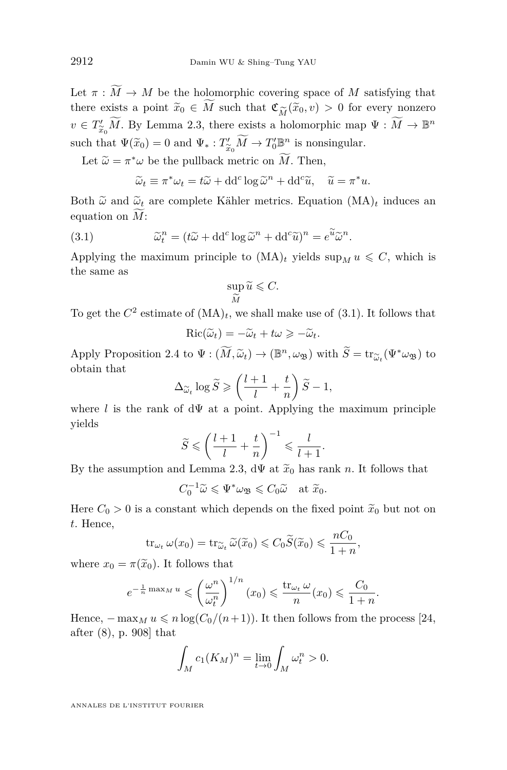Let  $\pi : \widetilde{M} \to M$  be the holomorphic covering space of *M* satisfying that there exists a point  $\tilde{x}_0 \in M$  such that  $\mathfrak{C}_{\widetilde{M}}(\tilde{x}_0, v) > 0$  for every nonzero  $v \in \mathcal{T}'$ .  $\widetilde{M}$  By Lemma 2.3, there exists a holomorphic map  $\Psi : \widetilde{M} \to \mathbb{R}^n$  $v \in T'_{\widetilde{x}_0} \widetilde{M}$ . By Lemma [2.3,](#page-5-1) there exists a holomorphic map  $\Psi : \widetilde{M} \to \mathbb{B}^n$ such that  $\Psi(\tilde{x}_0) = 0$  and  $\Psi_* : T'_{\tilde{x}_0} \widetilde{M} \to T'_0 \mathbb{B}^n$  is nonsingular.

Let  $\widetilde{\omega} = \pi^* \omega$  be the pullback metric on *M*. Then,

<span id="page-12-0"></span>
$$
\widetilde{\omega}_t \equiv \pi^* \omega_t = t \widetilde{\omega} + \mathrm{d} \mathrm{d}^c \log \widetilde{\omega}^n + \mathrm{d} \mathrm{d}^c \widetilde{u}, \quad \widetilde{u} = \pi^* u.
$$

Both  $\tilde{\omega}$  and  $\tilde{\omega}_t$  are complete Kähler metrics. Equation  $(MA)_t$  $(MA)_t$  induces an equation on  $\widetilde{M}$ :

(3.1) 
$$
\widetilde{\omega}_t^n = (t\widetilde{\omega} + dd^c \log \widetilde{\omega}^n + dd^c \widetilde{u})^n = e^{\widetilde{u}} \widetilde{\omega}^n.
$$

Applying the maximum principle to  $(MA)_t$  $(MA)_t$  yields  $\sup_M u \leq C$ , which is the same as

$$
\sup_{\widetilde{M}} \widetilde{u} \leqslant C.
$$

To get the  $C^2$  estimate of  $(MA)_t$  $(MA)_t$ , we shall make use of  $(3.1)$ . It follows that

$$
\operatorname{Ric}(\widetilde{\omega}_t) = -\widetilde{\omega}_t + t\omega \geqslant -\widetilde{\omega}_t.
$$

Apply Proposition [2.4](#page-5-0) to  $\Psi : (\widetilde{M}, \widetilde{\omega}_t) \to (\mathbb{B}^n, \omega_{\mathfrak{B}})$  with  $\widetilde{S} = \text{tr}_{\widetilde{\omega}_t}(\Psi^* \omega_{\mathfrak{B}})$  to obtain that obtain that

$$
\Delta_{\widetilde{\omega}_t} \log \widetilde{S} \geqslant \left(\frac{l+1}{l} + \frac{t}{n}\right) \widetilde{S} - 1,
$$

where *l* is the rank of  $d\Psi$  at a point. Applying the maximum principle yields

$$
\widetilde{S} \leqslant \left(\frac{l+1}{l}+\frac{t}{n}\right)^{-1} \leqslant \frac{l}{l+1}
$$

*.*

By the assumption and Lemma [2.3,](#page-5-1)  $d\Psi$  at  $\tilde{x}_0$  has rank *n*. It follows that

$$
C_0^{-1}\widetilde{\omega}\leqslant\Psi^*\omega_{\mathfrak{B}}\leqslant C_0\widetilde{\omega}\quad\text{at }\widetilde{x}_0.
$$

Here  $C_0 > 0$  is a constant which depends on the fixed point  $\tilde{x}_0$  but not on *t*. Hence,

$$
\operatorname{tr}_{\omega_t} \omega(x_0) = \operatorname{tr}_{\widetilde{\omega}_t} \widetilde{\omega}(\widetilde{x}_0) \leqslant C_0 \widetilde{S}(\widetilde{x}_0) \leqslant \frac{nC_0}{1+n},
$$

where  $x_0 = \pi(\tilde{x}_0)$ . It follows that

$$
e^{-\frac{1}{n}\max_M u} \leqslant \left(\frac{\omega^n}{\omega_t^n}\right)^{1/n} (x_0) \leqslant \frac{\text{tr}_{\omega_t} \omega}{n} (x_0) \leqslant \frac{C_0}{1+n}.
$$

Hence,  $-\max_M u \leq n \log(C_0/(n+1))$ . It then follows from the process [\[24,](#page-21-2) after (8), p. 908] that

$$
\int_M c_1(K_M)^n = \lim_{t \to 0} \int_M \omega_t^n > 0.
$$

ANNALES DE L'INSTITUT FOURIER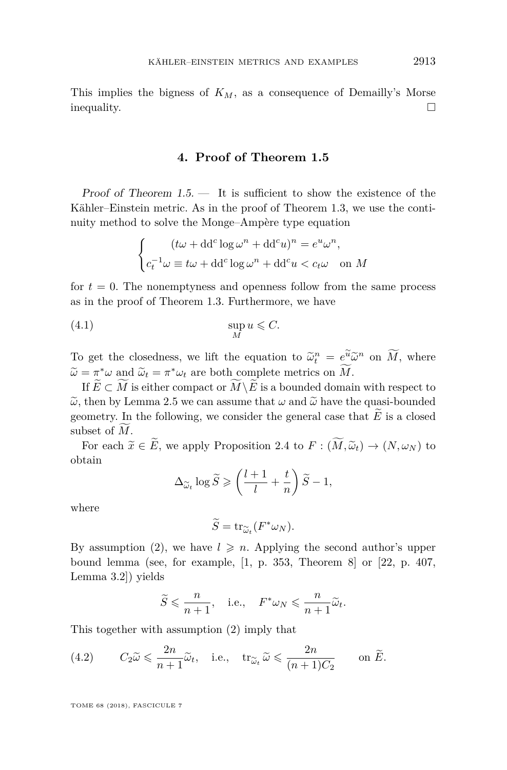This implies the bigness of  $K_M$ , as a consequence of Demailly's Morse inequality.

#### **4. Proof of Theorem [1.5](#page-3-5)**

Proof of Theorem  $1.5$ .  $-$  It is sufficient to show the existence of the Kähler–Einstein metric. As in the proof of Theorem [1.3,](#page-2-1) we use the continuity method to solve the Monge–Ampère type equation

<span id="page-13-1"></span>
$$
\begin{cases} (t\omega + dd^c \log \omega^n + dd^c u)^n = e^u \omega^n, \\ c_t^{-1} \omega \equiv t\omega + dd^c \log \omega^n + dd^c u < c_t \omega \quad \text{on } M \end{cases}
$$

for  $t = 0$ . The nonemptyness and openness follow from the same process as in the proof of Theorem [1.3.](#page-2-1) Furthermore, we have

$$
\sup_M u \leqslant C.
$$

To get the closedness, we lift the equation to  $\tilde{\omega}_t^n = e^{\tilde{u}} \tilde{\omega}^n$  on  $\widetilde{M}$ , where  $\widetilde{\omega} = \pi^* \omega$  and  $\widetilde{\omega}_t = \pi^* \omega_t$  are both complete metrics on  $\widetilde{M}$ .<br>If  $\widetilde{F} \subset \widetilde{M}$  is either compact on  $\widetilde{M} \setminus \widetilde{F}$  is a bounded density

If  $E \subset M$  is either compact or  $M \backslash E$  is a bounded domain with respect to  $\tilde{\omega}$ , then by Lemma [2.5](#page-6-4) we can assume that  $\omega$  and  $\tilde{\omega}$  have the quasi-bounded geometry. In the following, we consider the general case that  $E$  is a closed subset of M.

For each  $\widetilde{x} \in \widetilde{E}$ , we apply Proposition [2.4](#page-5-0) to  $F : (\widetilde{M}, \widetilde{\omega}_t) \to (N, \omega_N)$  to obtain

$$
\Delta_{\widetilde{\omega}_t} \log \widetilde{S} \geqslant \left(\frac{l+1}{l} + \frac{t}{n}\right) \widetilde{S} - 1,
$$

where

$$
\widetilde{S} = \operatorname{tr}_{\widetilde{\omega}_t} (F^* \omega_N).
$$

By assumption [\(2\)](#page-3-4), we have  $l \geq n$ . Applying the second author's upper bound lemma (see, for example, [\[1,](#page-20-8) p. 353, Theorem 8] or [\[22,](#page-21-9) p. 407, Lemma 3.2]) yields

$$
\widetilde{S} \leqslant \frac{n}{n+1}, \quad \text{i.e.,} \quad F^*\omega_N \leqslant \frac{n}{n+1}\widetilde{\omega}_t.
$$

This together with assumption [\(2\)](#page-3-4) imply that

<span id="page-13-0"></span>(4.2) 
$$
C_2 \widetilde{\omega} \leq \frac{2n}{n+1} \widetilde{\omega}_t
$$
, i.e.,  $\operatorname{tr}_{\widetilde{\omega}_t} \widetilde{\omega} \leq \frac{2n}{(n+1)C_2}$  on  $\widetilde{E}$ .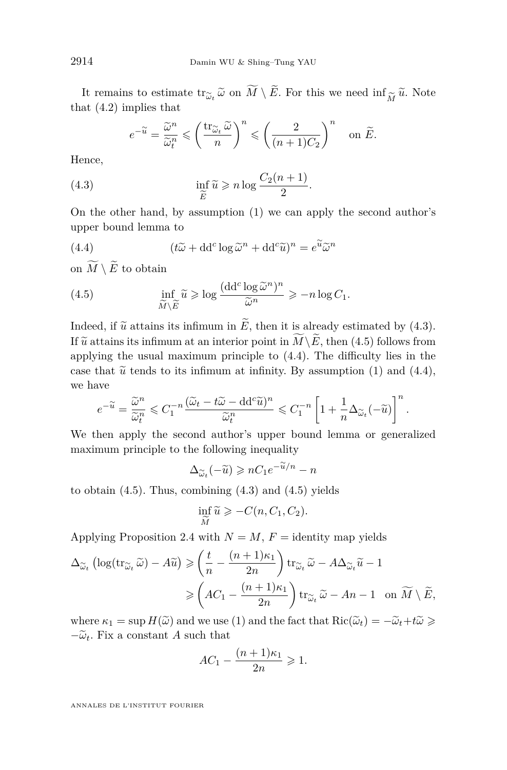It remains to estimate  $\text{tr}_{\tilde{\omega}_t} \tilde{\omega}$  on *M* \ *E*. For this we need  $\inf_{\tilde{M}} \tilde{u}$ . Note at (4.2) implies that that [\(4.2\)](#page-13-0) implies that

<span id="page-14-0"></span>
$$
e^{-\widetilde{u}} = \frac{\widetilde{\omega}^n}{\widetilde{\omega}_t^n} \leqslant \left(\frac{\text{tr}_{\widetilde{\omega}_t} \widetilde{\omega}}{n}\right)^n \leqslant \left(\frac{2}{(n+1)C_2}\right)^n \quad \text{on } \widetilde{E}.
$$

Hence,

(4.3) 
$$
\inf_{\widetilde{E}} \widetilde{u} \geqslant n \log \frac{C_2(n+1)}{2}.
$$

 $E$ <sup>2</sup><br>On the other hand, by assumption [\(1\)](#page-3-3) we can apply the second author's upper bound lemma to

<span id="page-14-2"></span>(4.4) 
$$
(t\widetilde{\omega} + dd^c \log \widetilde{\omega}^n + dd^c \widetilde{u})^n = e^{\widetilde{u}} \widetilde{\omega}^n
$$

on  $\widetilde{M} \setminus \widetilde{E}$  to obtain

<span id="page-14-1"></span>(4.5) 
$$
\inf_{\widetilde{M}\backslash \widetilde{E}} \widetilde{u} \ge \log \frac{(\mathrm{d} \mathrm{d}^c \log \widetilde{\omega}^n)^n}{\widetilde{\omega}^n} \ge -n \log C_1.
$$

Indeed, if  $\tilde{u}$  attains its infimum in  $\tilde{E}$ , then it is already estimated by [\(4.3\)](#page-14-0). If  $\widetilde{u}$  attains its infimum at an interior point in  $\widetilde{M}\setminus\widetilde{E}$ , then [\(4.5\)](#page-14-1) follows from applying the usual maximum principle to [\(4.4\)](#page-14-2). The difficulty lies in the case that  $\tilde{u}$  tends to its infimum at infinity. By assumption [\(1\)](#page-3-3) and [\(4.4\)](#page-14-2), we have

$$
e^{-\widetilde{u}}=\frac{\widetilde{\omega}^n}{\widetilde{\omega}_t^n}\leqslant C_1^{-n}\frac{(\widetilde{\omega}_t-t\widetilde{\omega}-\mathrm{dd}^c\widetilde{u})^n}{\widetilde{\omega}_t^n}\leqslant C_1^{-n}\left[1+\frac{1}{n}\Delta_{\widetilde{\omega}_t}(-\widetilde{u})\right]^n.
$$

We then apply the second author's upper bound lemma or generalized maximum principle to the following inequality

$$
\Delta_{\widetilde{\omega}_t}(-\widetilde{u}) \geqslant nC_1 e^{-\widetilde{u}/n} - n
$$

to obtain  $(4.5)$ . Thus, combining  $(4.3)$  and  $(4.5)$  yields

$$
\inf_{\widetilde{M}} \widetilde{u} \geqslant -C(n, C_1, C_2).
$$

*M*<br>
Applying Proposition [2.4](#page-5-0) with  $N = M$ ,  $F =$  identity map yields

$$
\Delta_{\widetilde{\omega}_t} \left( \log(\mathrm{tr}_{\widetilde{\omega}_t} \widetilde{\omega}) - A \widetilde{u} \right) \geq \left( \frac{t}{n} - \frac{(n+1)\kappa_1}{2n} \right) \mathrm{tr}_{\widetilde{\omega}_t} \widetilde{\omega} - A \Delta_{\widetilde{\omega}_t} \widetilde{u} - 1
$$

$$
\geq \left( A C_1 - \frac{(n+1)\kappa_1}{2n} \right) \mathrm{tr}_{\widetilde{\omega}_t} \widetilde{\omega} - An - 1 \quad \text{on } \widetilde{M} \setminus \widetilde{E},
$$

where  $\kappa_1 = \sup H(\tilde{\omega})$  and we use [\(1\)](#page-3-3) and the fact that  $\text{Ric}(\tilde{\omega}_t) = -\tilde{\omega}_t + t\tilde{\omega} \geq 0$  $-\tilde{\omega}_t$ . Fix a constant *A* such that

$$
AC_1 - \frac{(n+1)\kappa_1}{2n} \geqslant 1.
$$

ANNALES DE L'INSTITUT FOURIER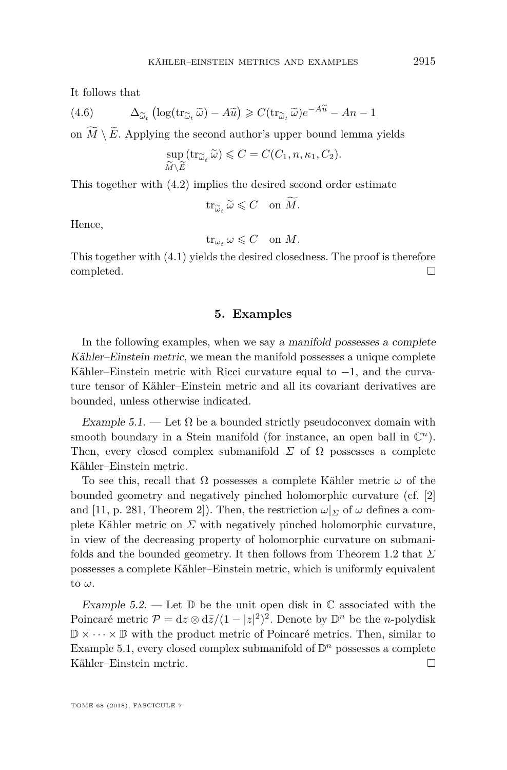It follows that

(4.6) 
$$
\Delta_{\widetilde{\omega}_t} \left( \log(\text{tr}_{\widetilde{\omega}_t} \widetilde{\omega}) - A \widetilde{u} \right) \geqslant C(\text{tr}_{\widetilde{\omega}_t} \widetilde{\omega}) e^{-A \widetilde{u}} - An - 1
$$

on  $M \setminus E$ . Applying the second author's upper bound lemma yields

$$
\sup_{\widetilde{M}\setminus \widetilde{E}}(\operatorname{tr}_{\widetilde{\omega}_t}\widetilde{\omega}) \leqslant C = C(C_1, n, \kappa_1, C_2).
$$

This together with [\(4.2\)](#page-13-0) implies the desired second order estimate

$$
\operatorname{tr}_{\widetilde{\omega}_t} \widetilde{\omega} \leqslant C \quad \text{on } \widetilde{M}.
$$

Hence,

$$
\operatorname{tr}_{\omega_t} \omega \leqslant C \quad \text{on } M.
$$

This together with [\(4.1\)](#page-13-1) yields the desired closedness. The proof is therefore completed.

#### **5. Examples**

<span id="page-15-0"></span>In the following examples, when we say a manifold possesses a complete Kähler–Einstein metric, we mean the manifold possesses a unique complete Kähler–Einstein metric with Ricci curvature equal to  $-1$ , and the curvature tensor of Kähler–Einstein metric and all its covariant derivatives are bounded, unless otherwise indicated.

<span id="page-15-1"></span>Example 5.1. — Let  $\Omega$  be a bounded strictly pseudoconvex domain with smooth boundary in a Stein manifold (for instance, an open ball in  $\mathbb{C}^n$ ). Then, every closed complex submanifold  $\Sigma$  of  $\Omega$  possesses a complete Kähler–Einstein metric.

To see this, recall that Ω possesses a complete Kähler metric *ω* of the bounded geometry and negatively pinched holomorphic curvature (cf. [\[2\]](#page-20-9) and [\[11,](#page-20-10) p. 281, Theorem 2]). Then, the restriction  $\omega|_{\Sigma}$  of  $\omega$  defines a complete Kähler metric on  $\Sigma$  with negatively pinched holomorphic curvature, in view of the decreasing property of holomorphic curvature on submanifolds and the bounded geometry. It then follows from Theorem [1.2](#page-2-0) that *Σ* possesses a complete Kähler–Einstein metric, which is uniformly equivalent to *ω*.

<span id="page-15-2"></span>Example 5.2. — Let  $\mathbb D$  be the unit open disk in  $\mathbb C$  associated with the Poincaré metric  $\mathcal{P} = dz \otimes d\bar{z}/(1-|z|^2)^2$ . Denote by  $\mathbb{D}^n$  be the *n*-polydisk  $\mathbb{D} \times \cdots \times \mathbb{D}$  with the product metric of Poincaré metrics. Then, similar to Example [5.1,](#page-15-1) every closed complex submanifold of  $\mathbb{D}^n$  possesses a complete Kähler–Einstein metric.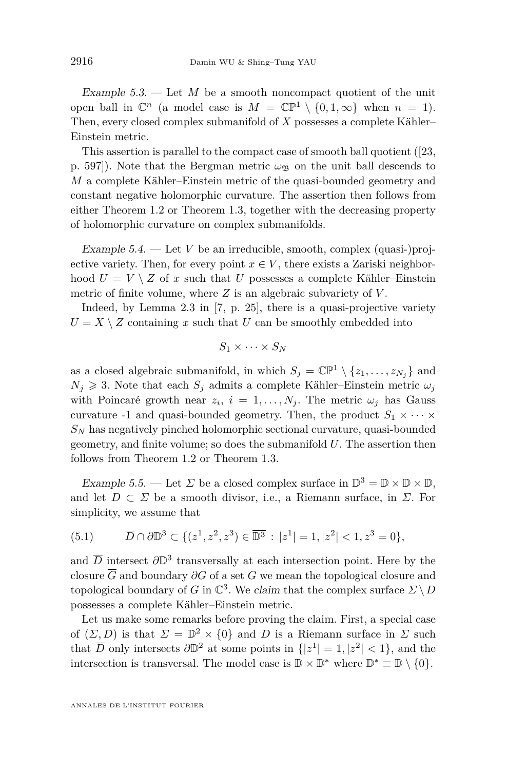Example  $5.3.$  — Let  $M$  be a smooth noncompact quotient of the unit open ball in  $\mathbb{C}^n$  (a model case is  $M = \mathbb{CP}^1 \setminus \{0, 1, \infty\}$  when  $n = 1$ ). Then, every closed complex submanifold of *X* possesses a complete Kähler– Einstein metric.

This assertion is parallel to the compact case of smooth ball quotient ([\[23,](#page-21-0) p. 597). Note that the Bergman metric  $\omega_{\mathfrak{B}}$  on the unit ball descends to *M* a complete Kähler–Einstein metric of the quasi-bounded geometry and constant negative holomorphic curvature. The assertion then follows from either Theorem [1.2](#page-2-0) or Theorem [1.3,](#page-2-1) together with the decreasing property of holomorphic curvature on complex submanifolds.

Example  $5.4.$  — Let *V* be an irreducible, smooth, complex (quasi-)projective variety. Then, for every point  $x \in V$ , there exists a Zariski neighborhood  $U = V \setminus Z$  of x such that U possesses a complete Kähler–Einstein metric of finite volume, where *Z* is an algebraic subvariety of *V* .

Indeed, by Lemma 2.3 in [\[7,](#page-20-11) p. 25], there is a quasi-projective variety  $U = X \setminus Z$  containing *x* such that *U* can be smoothly embedded into

$$
S_1\times\cdots\times S_N
$$

as a closed algebraic submanifold, in which  $S_j = \mathbb{CP}^1 \setminus \{z_1, \ldots, z_{N_j}\}\$ and  $N_j \geq 3$ . Note that each  $S_j$  admits a complete Kähler–Einstein metric  $\omega_j$ with Poincaré growth near  $z_i$ ,  $i = 1, \ldots, N_j$ . The metric  $\omega_j$  has Gauss curvature -1 and quasi-bounded geometry. Then, the product  $S_1 \times \cdots \times$ *S<sup>N</sup>* has negatively pinched holomorphic sectional curvature, quasi-bounded geometry, and finite volume; so does the submanifold *U*. The assertion then follows from Theorem [1.2](#page-2-0) or Theorem [1.3.](#page-2-1)

<span id="page-16-0"></span>Example 5.5. — Let  $\Sigma$  be a closed complex surface in  $\mathbb{D}^3 = \mathbb{D} \times \mathbb{D} \times \mathbb{D}$ , and let  $D \subset \Sigma$  be a smooth divisor, i.e., a Riemann surface, in  $\Sigma$ . For simplicity, we assume that

<span id="page-16-1"></span>(5.1) 
$$
\overline{D} \cap \partial \mathbb{D}^3 \subset \{(z^1, z^2, z^3) \in \overline{\mathbb{D}^3} : |z^1| = 1, |z^2| < 1, z^3 = 0\},\
$$

and  $\overline{D}$  intersect  $\partial \mathbb{D}^3$  transversally at each intersection point. Here by the closure  $\overline{G}$  and boundary  $\partial G$  of a set  $G$  we mean the topological closure and topological boundary of *G* in  $\mathbb{C}^3$ . We claim that the complex surface  $\overline{\mathcal{L}} \setminus D$ possesses a complete Kähler–Einstein metric.

Let us make some remarks before proving the claim. First, a special case of  $(\Sigma, D)$  is that  $\Sigma = \mathbb{D}^2 \times \{0\}$  and *D* is a Riemann surface in  $\Sigma$  such that  $\overline{D}$  only intersects  $\partial \mathbb{D}^2$  at some points in  $\{|z^1| = 1, |z^2| < 1\}$ , and the intersection is transversal. The model case is  $\mathbb{D} \times \mathbb{D}^*$  where  $\mathbb{D}^* \equiv \mathbb{D} \setminus \{0\}.$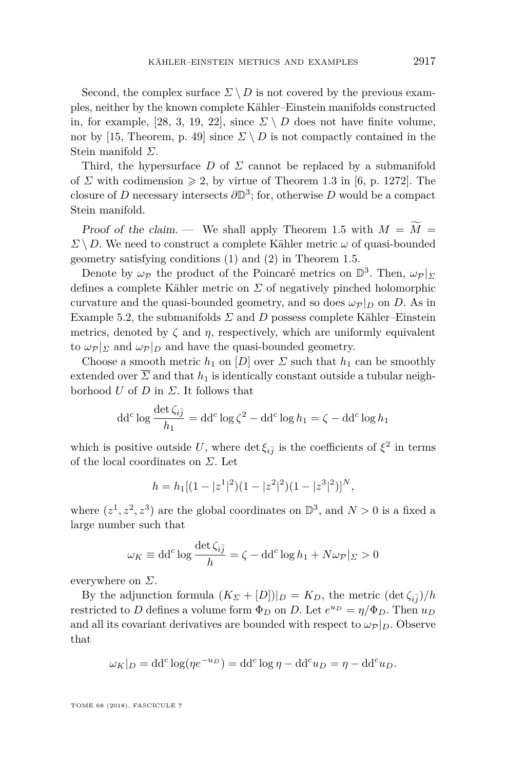Second, the complex surface  $\Sigma \setminus D$  is not covered by the previous examples, neither by the known complete Kähler–Einstein manifolds constructed in, for example, [\[28,](#page-21-10) [3,](#page-20-12) [19,](#page-21-11) [22\]](#page-21-9), since  $\Sigma \setminus D$  does not have finite volume, nor by [\[15,](#page-21-12) Theorem, p. 49] since  $\Sigma \setminus D$  is not compactly contained in the Stein manifold *Σ*.

Third, the hypersurface *D* of *Σ* cannot be replaced by a submanifold of *Σ* with codimension  $\geq 2$ , by virtue of Theorem 1.3 in [\[6,](#page-20-13) p. 1272]. The closure of *D* necessary intersects  $\partial \mathbb{D}^3$ ; for, otherwise *D* would be a compact Stein manifold.

Proof of the claim. — We shall apply Theorem [1.5](#page-3-5) with  $M = \tilde{M}$ *Σ* \ *D*. We need to construct a complete Kähler metric *ω* of quasi-bounded geometry satisfying conditions [\(1\)](#page-3-3) and [\(2\)](#page-3-4) in Theorem [1.5.](#page-3-5)

Denote by  $\omega_{\mathcal{P}}$  the product of the Poincaré metrics on  $\mathbb{D}^3$ . Then,  $\omega_{\mathcal{P}}|_{\mathcal{D}}$ defines a complete Kähler metric on *Σ* of negatively pinched holomorphic curvature and the quasi-bounded geometry, and so does  $\omega_{\mathcal{P}}|_D$  on *D*. As in Example [5.2,](#page-15-2) the submanifolds  $\Sigma$  and  $D$  possess complete Kähler–Einstein metrics, denoted by  $\zeta$  and  $\eta$ , respectively, which are uniformly equivalent to  $\omega_{\mathcal{P}}|_{\Sigma}$  and  $\omega_{\mathcal{P}}|_{D}$  and have the quasi-bounded geometry.

Choose a smooth metric  $h_1$  on  $[D]$  over  $\Sigma$  such that  $h_1$  can be smoothly extended over  $\overline{\Sigma}$  and that  $h_1$  is identically constant outside a tubular neighborhood *U* of *D* in *Σ*. It follows that

$$
dd^{c} \log \frac{\det \zeta_{i\bar{j}}}{h_{1}} = dd^{c} \log \zeta^{2} - dd^{c} \log h_{1} = \zeta - dd^{c} \log h_{1}
$$

which is positive outside  $U$ , where  $\det \xi_{i\bar{j}}$  is the coefficients of  $\xi^2$  in terms of the local coordinates on *Σ*. Let

$$
h = h_1[(1-|z^1|^2)(1-|z^2|^2)(1-|z^3|^2)]^N,
$$

where  $(z^1, z^2, z^3)$  are the global coordinates on  $\mathbb{D}^3$ , and  $N > 0$  is a fixed a large number such that

$$
\omega_K \equiv \mathrm{dd}^c \log \frac{\det \zeta_{i\bar{j}}}{h} = \zeta - \mathrm{dd}^c \log h_1 + N \omega_{\mathcal{P}}|_{\Sigma} > 0
$$

everywhere on *Σ*.

By the adjunction formula  $(K_{\Sigma} + [D])|_{D} = K_{D}$ , the metric  $(\det \zeta_{i\bar{j}})/h$ restricted to *D* defines a volume form  $\Phi_D$  on *D*. Let  $e^{u_D} = \eta / \Phi_D$ . Then  $u_D$ and all its covariant derivatives are bounded with respect to  $\omega_{\mathcal{P}}|_D$ . Observe that

$$
\omega_K|_D = dd^c \log(\eta e^{-u_D}) = dd^c \log \eta - dd^c u_D = \eta - dd^c u_D.
$$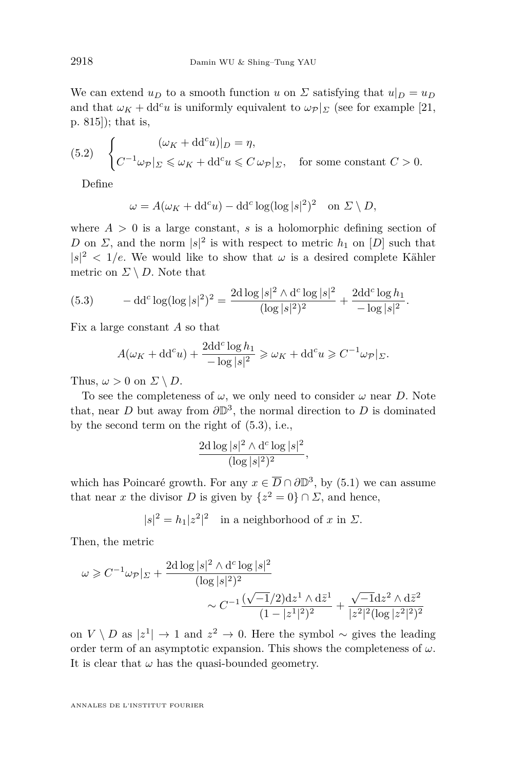We can extend  $u_D$  to a smooth function *u* on  $\Sigma$  satisfying that  $u|_D = u_D$ and that  $\omega_K + dd^c u$  is uniformly equivalent to  $\omega_{\mathcal{P}}|_{\Sigma}$  (see for example [\[21,](#page-21-13) p. 815]); that is,

<span id="page-18-1"></span>(5.2) 
$$
\begin{cases} (\omega_K + dd^c u)|_D = \eta, \\ C^{-1} \omega_{\mathcal{P}}|_{\Sigma} \leq \omega_K + dd^c u \leq C \omega_{\mathcal{P}}|_{\Sigma}, \quad \text{for some constant } C > 0. \end{cases}
$$

Define

$$
\omega = A(\omega_K + dd^c u) - dd^c \log(\log |s|^2)^2 \quad \text{on } \Sigma \setminus D,
$$

where  $A > 0$  is a large constant, *s* is a holomorphic defining section of *D* on *Σ*, and the norm  $|s|^2$  is with respect to metric *h*<sub>1</sub> on [*D*] such that  $|s|^2 < 1/e$ . We would like to show that  $\omega$  is a desired complete Kähler metric on  $\Sigma \setminus D$ . Note that

<span id="page-18-0"></span>(5.3) 
$$
- \mathrm{d} \mathrm{d}^c \log(\log |s|^2)^2 = \frac{2 \mathrm{d} \log |s|^2 \wedge \mathrm{d}^c \log |s|^2}{(\log |s|^2)^2} + \frac{2 \mathrm{d} \mathrm{d}^c \log h_1}{-\log |s|^2}.
$$

Fix a large constant *A* so that

$$
A(\omega_K + \mathrm{d} \mathrm{d}^c u) + \frac{2 \mathrm{d} \mathrm{d}^c \log h_1}{-\log |s|^2} \geq \omega_K + \mathrm{d} \mathrm{d}^c u \geqslant C^{-1} \omega_{\mathcal{P}}|_{\Sigma}.
$$

Thus,  $\omega > 0$  on  $\Sigma \setminus D$ .

To see the completeness of  $\omega$ , we only need to consider  $\omega$  near *D*. Note that, near *D* but away from *∂*D 3 , the normal direction to *D* is dominated by the second term on the right of [\(5.3\)](#page-18-0), i.e.,

$$
\frac{2d\log|s|^2 \wedge d^c \log |s|^2}{(\log|s|^2)^2},
$$

which has Poincaré growth. For any  $x \in \overline{D} \cap \partial \mathbb{D}^3$ , by [\(5.1\)](#page-16-1) we can assume that near *x* the divisor *D* is given by  $\{z^2 = 0\} \cap \Sigma$ , and hence,

 $|s|^2 = h_1 |z^2|^2$  in a neighborhood of *x* in *Σ*.

Then, the metric

$$
\omega \geq C^{-1} \omega_{\mathcal{P}}|_{\Sigma} + \frac{2d \log |s|^2 \wedge d^c \log |s|^2}{(\log |s|^2)^2} \sim C^{-1} \frac{(\sqrt{-1}/2)dz^1 \wedge d\bar{z}^1}{(1 - |z^1|^2)^2} + \frac{\sqrt{-1}dz^2 \wedge d\bar{z}^2}{|z^2|^2(\log |z^2|^2)^2}
$$

on *V* \ *D* as  $|z^1|$  → 1 and  $z^2$  → 0. Here the symbol ~ gives the leading order term of an asymptotic expansion. This shows the completeness of  $\omega$ . It is clear that  $\omega$  has the quasi-bounded geometry.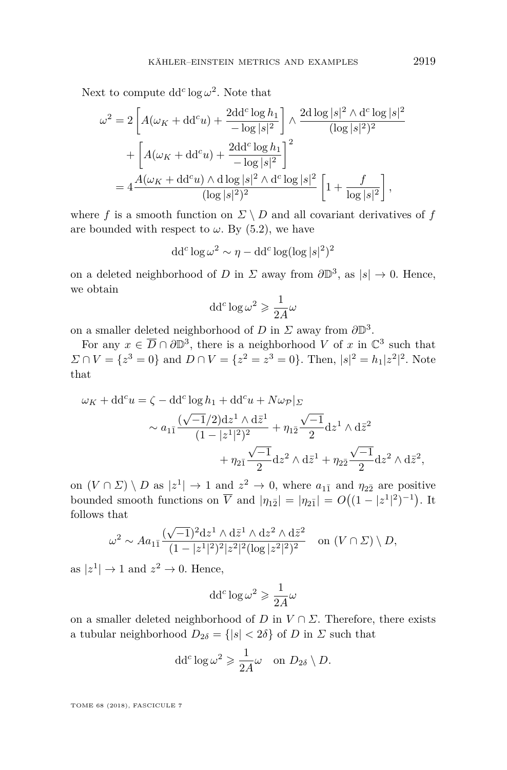Next to compute  $dd^c \log \omega^2$ . Note that

$$
\omega^{2} = 2 \left[ A(\omega_{K} + dd^{c}u) + \frac{2dd^{c} \log h_{1}}{-\log |s|^{2}} \right] \wedge \frac{2d \log |s|^{2} \wedge d^{c} \log |s|^{2}}{(\log |s|^{2})^{2}} + \left[ A(\omega_{K} + dd^{c}u) + \frac{2dd^{c} \log h_{1}}{-\log |s|^{2}} \right]^{2}
$$

$$
= 4 \frac{A(\omega_{K} + dd^{c}u) \wedge d \log |s|^{2} \wedge d^{c} \log |s|^{2}}{(\log |s|^{2})^{2}} \left[ 1 + \frac{f}{\log |s|^{2}} \right],
$$

where *f* is a smooth function on  $\Sigma \setminus D$  and all covariant derivatives of *f* are bounded with respect to  $\omega$ . By [\(5.2\)](#page-18-1), we have

$$
dd^c \log \omega^2 \sim \eta - dd^c \log(\log |s|^2)^2
$$

on a deleted neighborhood of *D* in  $\Sigma$  away from  $\partial \mathbb{D}^3$ , as  $|s| \to 0$ . Hence, we obtain

$$
\mathrm{d} \mathrm{d}^c \log \omega^2 \geqslant \frac{1}{2A} \omega
$$

on a smaller deleted neighborhood of *D* in  $\Sigma$  away from  $\partial \mathbb{D}^3$ .

For any  $x \in \overline{D} \cap \partial \mathbb{D}^3$ , there is a neighborhood *V* of *x* in  $\mathbb{C}^3$  such that  $\Sigma \cap V = \{z^3 = 0\}$  and  $D \cap V = \{z^2 = z^3 = 0\}$ . Then,  $|s|^2 = h_1 |z^2|^2$ . Note that

$$
\omega_K + dd^c u = \zeta - dd^c \log h_1 + dd^c u + N \omega_{\mathcal{P}}|_{\Sigma}
$$
  

$$
\sim a_{1\bar{1}} \frac{(\sqrt{-1}/2)dz^1 \wedge d\bar{z}^1}{(1-|z^1|^2)^2} + \eta_{1\bar{2}} \frac{\sqrt{-1}}{2} dz^1 \wedge d\bar{z}^2
$$
  

$$
+ \eta_{2\bar{1}} \frac{\sqrt{-1}}{2} dz^2 \wedge d\bar{z}^1 + \eta_{2\bar{2}} \frac{\sqrt{-1}}{2} dz^2 \wedge d\bar{z}^2,
$$

on  $(V \cap \Sigma) \setminus D$  as  $|z^1| \to 1$  and  $z^2 \to 0$ , where  $a_{1\bar{1}}$  and  $\eta_{2\bar{2}}$  are positive bounded smooth functions on  $\overline{V}$  and  $|\eta_{1\overline{2}}| = |\eta_{2\overline{1}}| = O((1-|z^1|^2)^{-1})$ . It follows that

$$
\omega^2 \sim A a_{1\bar{1}} \frac{(\sqrt{-1})^2 dz^1 \wedge d\bar{z}^1 \wedge dz^2 \wedge d\bar{z}^2}{(1 - |z^1|^2)^2 |z^2|^2 (\log |z^2|^2)^2} \quad \text{on } (V \cap \Sigma) \setminus D,
$$

as  $|z^1| \to 1$  and  $z^2 \to 0$ . Hence,

$$
\mathrm{d} \mathrm{d}^c \log \omega^2 \geqslant \frac{1}{2A} \omega
$$

on a smaller deleted neighborhood of *D* in  $V \cap \Sigma$ . Therefore, there exists a tubular neighborhood  $D_{2\delta} = \{|s| < 2\delta\}$  of *D* in *Z* such that

$$
\mathrm{d} \mathrm{d}^c \log \omega^2 \geqslant \frac{1}{2A} \omega \quad \text{on } D_{2\delta} \setminus D.
$$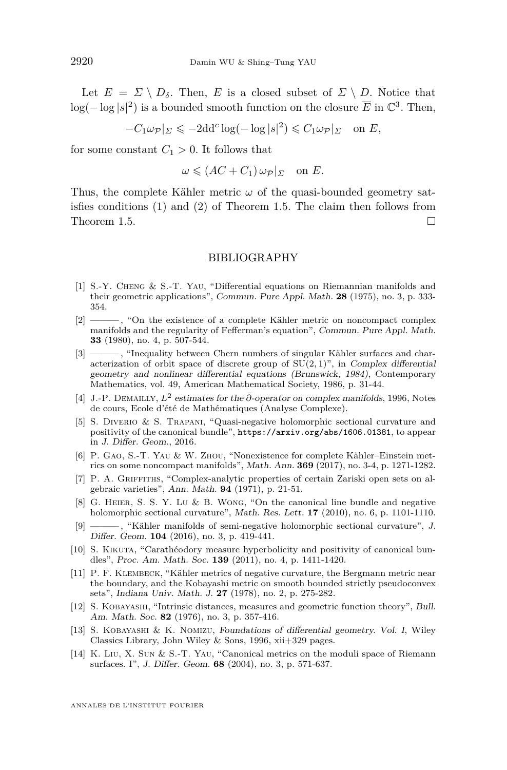Let  $E = \Sigma \setminus D_{\delta}$ . Then, *E* is a closed subset of  $\Sigma \setminus D$ . Notice that  $\log(-\log|s|^2)$  is a bounded smooth function on the closure  $\overline{E}$  in  $\mathbb{C}^3$ . Then,

 $-C_1\omega_{\mathcal{P}}|_{\Sigma} \leqslant -2\mathrm{dd}^c\log(-\log|s|^2) \leqslant C_1\omega_{\mathcal{P}}|_{\Sigma} \text{ on } E,$ 

for some constant  $C_1 > 0$ . It follows that

$$
\omega \leqslant (AC + C_1) \omega_{\mathcal{P}}|_{\Sigma} \quad \text{on } E.
$$

Thus, the complete Kähler metric  $\omega$  of the quasi-bounded geometry satisfies conditions [\(1\)](#page-3-3) and [\(2\)](#page-3-4) of Theorem [1.5.](#page-3-5) The claim then follows from Theorem [1.5.](#page-3-5)

#### BIBLIOGRAPHY

- <span id="page-20-8"></span>[1] S.-Y. Cheng & S.-T. Yau, "Differential equations on Riemannian manifolds and their geometric applications", Commun. Pure Appl. Math. **28** (1975), no. 3, p. 333- 354.
- <span id="page-20-9"></span>[2] ——— , "On the existence of a complete Kähler metric on noncompact complex manifolds and the regularity of Fefferman's equation", Commun. Pure Appl. Math. **33** (1980), no. 4, p. 507-544.
- <span id="page-20-12"></span>[3] ——— , "Inequality between Chern numbers of singular Kähler surfaces and characterization of orbit space of discrete group of  $SU(2,1)$ ", in Complex differential geometry and nonlinear differential equations (Brunswick, 1984), Contemporary Mathematics, vol. 49, American Mathematical Society, 1986, p. 31-44.
- <span id="page-20-3"></span>[4] J.-P. Demailly, *L*<sup>2</sup> estimates for the *∂*¯-operator on complex manifolds, 1996, Notes de cours, Ecole d'été de Mathématiques (Analyse Complexe).
- <span id="page-20-2"></span>[5] S. Diverio & S. Trapani, "Quasi-negative holomorphic sectional curvature and positivity of the canonical bundle", <https://arxiv.org/abs/1606.01381>, to appear in J. Differ. Geom., 2016.
- <span id="page-20-13"></span>[6] P. Gao, S.-T. Yau & W. Zhou, "Nonexistence for complete Kähler–Einstein metrics on some noncompact manifolds", Math. Ann. **369** (2017), no. 3-4, p. 1271-1282.
- <span id="page-20-11"></span>[7] P. A. GRIFFITHS, "Complex-analytic properties of certain Zariski open sets on algebraic varieties", Ann. Math. **94** (1971), p. 21-51.
- <span id="page-20-0"></span>[8] G. Heier, S. S. Y. Lu & B. Wong, "On the canonical line bundle and negative holomorphic sectional curvature", Math. Res. Lett. **17** (2010), no. 6, p. 1101-1110.
- <span id="page-20-1"></span>[9] ——— , "Kähler manifolds of semi-negative holomorphic sectional curvature", J. Differ. Geom. **104** (2016), no. 3, p. 419-441.
- <span id="page-20-4"></span>[10] S. KIKUTA, "Carathéodory measure hyperbolicity and positivity of canonical bundles", Proc. Am. Math. Soc. **139** (2011), no. 4, p. 1411-1420.
- <span id="page-20-10"></span>[11] P. F. Klembeck, "Kähler metrics of negative curvature, the Bergmann metric near the boundary, and the Kobayashi metric on smooth bounded strictly pseudoconvex sets", Indiana Univ. Math. J. **27** (1978), no. 2, p. 275-282.
- <span id="page-20-7"></span>[12] S. Kobayashi, "Intrinsic distances, measures and geometric function theory", Bull. Am. Math. Soc. **82** (1976), no. 3, p. 357-416.
- <span id="page-20-6"></span>[13] S. Kobayashi & K. Nomizu, Foundations of differential geometry. Vol. I, Wiley Classics Library, John Wiley & Sons, 1996, xii+329 pages.
- <span id="page-20-5"></span>[14] K. Liu, X. Sun & S.-T. Yau, "Canonical metrics on the moduli space of Riemann surfaces. I", J. Differ. Geom. **68** (2004), no. 3, p. 571-637.